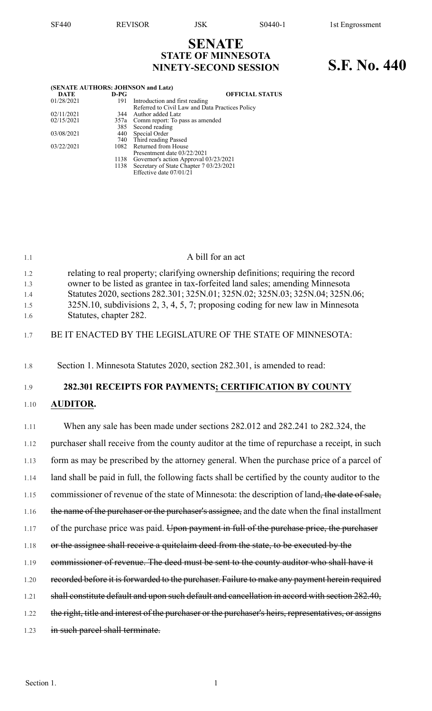## **SENATE STATE OF MINNESOTA NINETY-SECOND SESSION S.F. No. 440**

|            |        | (SENATE AUTHORS: JOHNSON and Latz)              |
|------------|--------|-------------------------------------------------|
| DATE       | $D-PG$ | <b>OFFICIAL STATUS</b>                          |
| 01/28/2021 | 191    | Introduction and first reading                  |
|            |        | Referred to Civil Law and Data Practices Policy |
| 02/11/2021 |        | 344 Author added Latz                           |
| 02/15/2021 |        | 357a Comm report: To pass as amended            |
|            |        | 385 Second reading                              |
| 03/08/2021 |        | 440 Special Order                               |
|            |        | 740 Third reading Passed                        |
| 03/22/2021 |        | 1082 Returned from House                        |
|            |        | Presentment date 03/22/2021                     |
|            |        | 1138 Governor's action Approval 03/23/2021      |
|            |        | 1138 Secretary of State Chapter 7 03/23/2021    |
|            |        | Effective date 07/01/21                         |

| 1.1                             | A bill for an act                                                                                                                                                                                                                                                                                                                                               |
|---------------------------------|-----------------------------------------------------------------------------------------------------------------------------------------------------------------------------------------------------------------------------------------------------------------------------------------------------------------------------------------------------------------|
| 1.2<br>1.3<br>1.4<br>1.5<br>1.6 | relating to real property; clarifying ownership definitions; requiring the record<br>owner to be listed as grantee in tax-forfeited land sales; amending Minnesota<br>Statutes 2020, sections 282.301; 325N.01; 325N.02; 325N.03; 325N.04; 325N.06;<br>325N.10, subdivisions 2, 3, 4, 5, 7; proposing coding for new law in Minnesota<br>Statutes, chapter 282. |
| 1.7                             | BE IT ENACTED BY THE LEGISLATURE OF THE STATE OF MINNESOTA:                                                                                                                                                                                                                                                                                                     |
| 1.8                             | Section 1. Minnesota Statutes 2020, section 282.301, is amended to read:                                                                                                                                                                                                                                                                                        |
| 1.9                             | 282.301 RECEIPTS FOR PAYMENTS; CERTIFICATION BY COUNTY                                                                                                                                                                                                                                                                                                          |
| 1.10                            | <b>AUDITOR.</b>                                                                                                                                                                                                                                                                                                                                                 |
| 1.11                            | When any sale has been made under sections 282.012 and 282.241 to 282.324, the                                                                                                                                                                                                                                                                                  |
| 1.12                            | purchaser shall receive from the county auditor at the time of repurchase a receipt, in such                                                                                                                                                                                                                                                                    |
| 1.13                            | form as may be prescribed by the attorney general. When the purchase price of a parcel of                                                                                                                                                                                                                                                                       |
| 1.14                            | land shall be paid in full, the following facts shall be certified by the county auditor to the                                                                                                                                                                                                                                                                 |
| 1.15                            | commissioner of revenue of the state of Minnesota: the description of land, the date of sale,                                                                                                                                                                                                                                                                   |
| 1.16                            | the name of the purchaser or the purchaser's assignee, and the date when the final installment                                                                                                                                                                                                                                                                  |
| 1.17                            | of the purchase price was paid. Upon payment in full of the purchase price, the purchaser                                                                                                                                                                                                                                                                       |
| 1.18                            | or the assignee shall receive a quitclaim deed from the state, to be executed by the                                                                                                                                                                                                                                                                            |
| 1.19                            | commissioner of revenue. The deed must be sent to the county auditor who shall have it                                                                                                                                                                                                                                                                          |
| 1.20                            | recorded before it is forwarded to the purchaser. Failure to make any payment herein required                                                                                                                                                                                                                                                                   |
| 1.21                            | shall constitute default and upon such default and cancellation in accord with section 282.40,                                                                                                                                                                                                                                                                  |

- 1.22 the right, title and interest of the purchaser or the purchaser's heirs, representatives, or assigns
- 1.23 in such parcel shall terminate.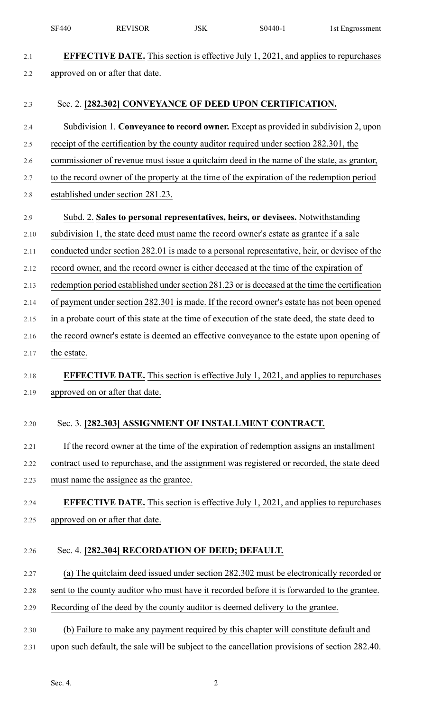|         | <b>SF440</b> | <b>REVISOR</b>                                  | <b>JSK</b> | S0440-1                                                                                         | 1st Engrossment |
|---------|--------------|-------------------------------------------------|------------|-------------------------------------------------------------------------------------------------|-----------------|
| 2.1     |              |                                                 |            | <b>EFFECTIVE DATE.</b> This section is effective July 1, 2021, and applies to repurchases       |                 |
| 2.2     |              | approved on or after that date.                 |            |                                                                                                 |                 |
|         |              |                                                 |            |                                                                                                 |                 |
| 2.3     |              |                                                 |            | Sec. 2. [282.302] CONVEYANCE OF DEED UPON CERTIFICATION.                                        |                 |
| 2.4     |              |                                                 |            | Subdivision 1. Conveyance to record owner. Except as provided in subdivision 2, upon            |                 |
| 2.5     |              |                                                 |            | receipt of the certification by the county auditor required under section 282.301, the          |                 |
| 2.6     |              |                                                 |            | commissioner of revenue must issue a quitclaim deed in the name of the state, as grantor,       |                 |
| 2.7     |              |                                                 |            | to the record owner of the property at the time of the expiration of the redemption period      |                 |
| $2.8\,$ |              | established under section 281.23.               |            |                                                                                                 |                 |
| 2.9     |              |                                                 |            | Subd. 2. Sales to personal representatives, heirs, or devisees. Notwithstanding                 |                 |
| 2.10    |              |                                                 |            | subdivision 1, the state deed must name the record owner's estate as grantee if a sale          |                 |
| 2.11    |              |                                                 |            | conducted under section 282.01 is made to a personal representative, heir, or devisee of the    |                 |
| 2.12    |              |                                                 |            | record owner, and the record owner is either deceased at the time of the expiration of          |                 |
| 2.13    |              |                                                 |            | redemption period established under section 281.23 or is deceased at the time the certification |                 |
| 2.14    |              |                                                 |            | of payment under section 282.301 is made. If the record owner's estate has not been opened      |                 |
| 2.15    |              |                                                 |            | in a probate court of this state at the time of execution of the state deed, the state deed to  |                 |
| 2.16    |              |                                                 |            | the record owner's estate is deemed an effective conveyance to the estate upon opening of       |                 |
| 2.17    | the estate.  |                                                 |            |                                                                                                 |                 |
| 2.18    |              |                                                 |            | <b>EFFECTIVE DATE.</b> This section is effective July 1, 2021, and applies to repurchases       |                 |
| 2.19    |              | approved on or after that date.                 |            |                                                                                                 |                 |
|         |              |                                                 |            |                                                                                                 |                 |
| 2.20    |              |                                                 |            | Sec. 3. [282.303] ASSIGNMENT OF INSTALLMENT CONTRACT.                                           |                 |
| 2.21    |              |                                                 |            | If the record owner at the time of the expiration of redemption assigns an installment          |                 |
| 2.22    |              |                                                 |            | contract used to repurchase, and the assignment was registered or recorded, the state deed      |                 |
| 2.23    |              | must name the assignee as the grantee.          |            |                                                                                                 |                 |
| 2.24    |              |                                                 |            | <b>EFFECTIVE DATE.</b> This section is effective July 1, 2021, and applies to repurchases       |                 |
| 2.25    |              | approved on or after that date.                 |            |                                                                                                 |                 |
|         |              |                                                 |            |                                                                                                 |                 |
| 2.26    |              | Sec. 4. [282.304] RECORDATION OF DEED; DEFAULT. |            |                                                                                                 |                 |
| 2.27    |              |                                                 |            | (a) The quitclaim deed issued under section 282.302 must be electronically recorded or          |                 |
| 2.28    |              |                                                 |            | sent to the county auditor who must have it recorded before it is forwarded to the grantee.     |                 |
| 2.29    |              |                                                 |            | Recording of the deed by the county auditor is deemed delivery to the grantee.                  |                 |
| 2.30    |              |                                                 |            | (b) Failure to make any payment required by this chapter will constitute default and            |                 |
| 2.31    |              |                                                 |            | upon such default, the sale will be subject to the cancellation provisions of section 282.40.   |                 |
|         |              |                                                 |            |                                                                                                 |                 |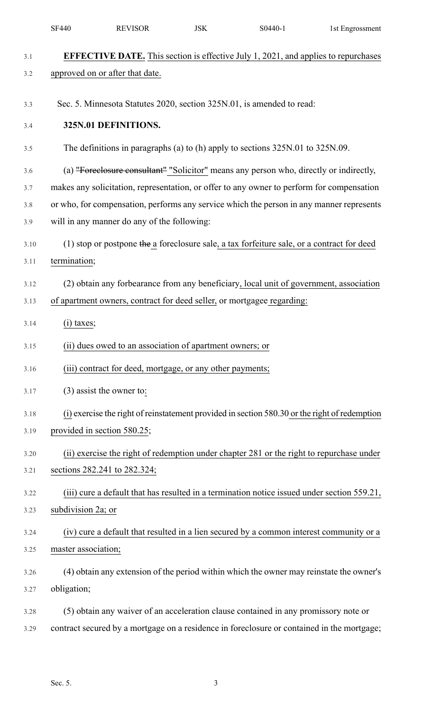|      | <b>SF440</b>                                                                               | <b>REVISOR</b>                                            | <b>JSK</b> | S0440-1                                                                                       | 1st Engrossment |  |  |  |
|------|--------------------------------------------------------------------------------------------|-----------------------------------------------------------|------------|-----------------------------------------------------------------------------------------------|-----------------|--|--|--|
| 3.1  |                                                                                            |                                                           |            | <b>EFFECTIVE DATE.</b> This section is effective July 1, 2021, and applies to repurchases     |                 |  |  |  |
| 3.2  |                                                                                            | approved on or after that date.                           |            |                                                                                               |                 |  |  |  |
|      |                                                                                            |                                                           |            |                                                                                               |                 |  |  |  |
| 3.3  |                                                                                            |                                                           |            | Sec. 5. Minnesota Statutes 2020, section 325N.01, is amended to read:                         |                 |  |  |  |
| 3.4  |                                                                                            | 325N.01 DEFINITIONS.                                      |            |                                                                                               |                 |  |  |  |
| 3.5  |                                                                                            |                                                           |            | The definitions in paragraphs (a) to (h) apply to sections 325N.01 to 325N.09.                |                 |  |  |  |
| 3.6  | (a) "Foreclosure consultant" "Solicitor" means any person who, directly or indirectly,     |                                                           |            |                                                                                               |                 |  |  |  |
| 3.7  |                                                                                            |                                                           |            | makes any solicitation, representation, or offer to any owner to perform for compensation     |                 |  |  |  |
| 3.8  |                                                                                            |                                                           |            | or who, for compensation, performs any service which the person in any manner represents      |                 |  |  |  |
| 3.9  |                                                                                            | will in any manner do any of the following:               |            |                                                                                               |                 |  |  |  |
| 3.10 | (1) stop or postpone the a foreclosure sale, a tax forfeiture sale, or a contract for deed |                                                           |            |                                                                                               |                 |  |  |  |
| 3.11 | termination;                                                                               |                                                           |            |                                                                                               |                 |  |  |  |
| 3.12 |                                                                                            |                                                           |            | (2) obtain any forbearance from any beneficiary, local unit of government, association        |                 |  |  |  |
| 3.13 |                                                                                            |                                                           |            | of apartment owners, contract for deed seller, or mortgagee regarding:                        |                 |  |  |  |
| 3.14 | $(i)$ taxes;                                                                               |                                                           |            |                                                                                               |                 |  |  |  |
| 3.15 |                                                                                            | (ii) dues owed to an association of apartment owners; or  |            |                                                                                               |                 |  |  |  |
| 3.16 |                                                                                            | (iii) contract for deed, mortgage, or any other payments; |            |                                                                                               |                 |  |  |  |
| 3.17 |                                                                                            | $(3)$ assist the owner to:                                |            |                                                                                               |                 |  |  |  |
| 3.18 |                                                                                            |                                                           |            | (i) exercise the right of reinstatement provided in section 580.30 or the right of redemption |                 |  |  |  |
| 3.19 | provided in section 580.25;                                                                |                                                           |            |                                                                                               |                 |  |  |  |
| 3.20 |                                                                                            |                                                           |            | (ii) exercise the right of redemption under chapter 281 or the right to repurchase under      |                 |  |  |  |
| 3.21 |                                                                                            | sections 282.241 to 282.324;                              |            |                                                                                               |                 |  |  |  |
| 3.22 |                                                                                            |                                                           |            | (iii) cure a default that has resulted in a termination notice issued under section 559.21,   |                 |  |  |  |
| 3.23 | subdivision 2a; or                                                                         |                                                           |            |                                                                                               |                 |  |  |  |
| 3.24 |                                                                                            |                                                           |            | (iv) cure a default that resulted in a lien secured by a common interest community or a       |                 |  |  |  |
| 3.25 | master association;                                                                        |                                                           |            |                                                                                               |                 |  |  |  |
| 3.26 |                                                                                            |                                                           |            | (4) obtain any extension of the period within which the owner may reinstate the owner's       |                 |  |  |  |
| 3.27 | obligation;                                                                                |                                                           |            |                                                                                               |                 |  |  |  |
| 3.28 |                                                                                            |                                                           |            | (5) obtain any waiver of an acceleration clause contained in any promissory note or           |                 |  |  |  |
| 3.29 |                                                                                            |                                                           |            | contract secured by a mortgage on a residence in foreclosure or contained in the mortgage;    |                 |  |  |  |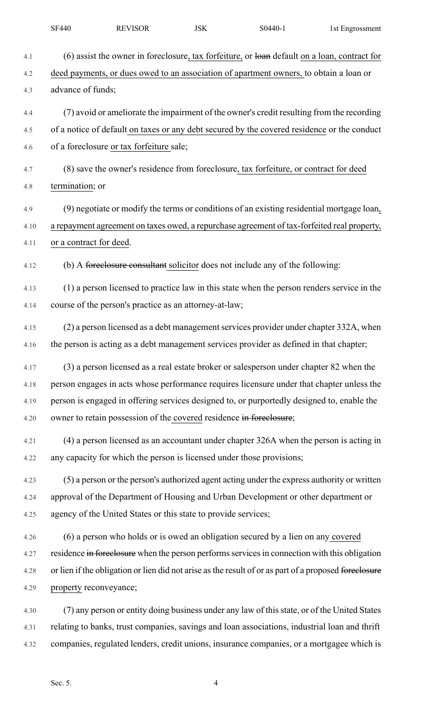|      | <b>SF440</b>            | <b>REVISOR</b>                                                                                        | <b>JSK</b> | S0440-1 | 1st Engrossment |
|------|-------------------------|-------------------------------------------------------------------------------------------------------|------------|---------|-----------------|
| 4.1  |                         | $(6)$ assist the owner in foreclosure, tax forfeiture, or loan default on a loan, contract for        |            |         |                 |
| 4.2  |                         | deed payments, or dues owed to an association of apartment owners, to obtain a loan or                |            |         |                 |
| 4.3  | advance of funds;       |                                                                                                       |            |         |                 |
| 4.4  |                         | (7) avoid or ameliorate the impairment of the owner's credit resulting from the recording             |            |         |                 |
| 4.5  |                         | of a notice of default on taxes or any debt secured by the covered residence or the conduct           |            |         |                 |
| 4.6  |                         | of a foreclosure or tax forfeiture sale;                                                              |            |         |                 |
| 4.7  |                         | (8) save the owner's residence from foreclosure, tax forfeiture, or contract for deed                 |            |         |                 |
| 4.8  | termination; or         |                                                                                                       |            |         |                 |
| 4.9  |                         | (9) negotiate or modify the terms or conditions of an existing residential mortgage loan,             |            |         |                 |
| 4.10 |                         | a repayment agreement on taxes owed, a repurchase agreement of tax-forfeited real property,           |            |         |                 |
| 4.11 | or a contract for deed. |                                                                                                       |            |         |                 |
| 4.12 |                         | (b) A forcelosure consultant solicitor does not include any of the following:                         |            |         |                 |
| 4.13 |                         | (1) a person licensed to practice law in this state when the person renders service in the            |            |         |                 |
| 4.14 |                         | course of the person's practice as an attorney-at-law;                                                |            |         |                 |
| 4.15 |                         | (2) a person licensed as a debt management services provider under chapter 332A, when                 |            |         |                 |
| 4.16 |                         | the person is acting as a debt management services provider as defined in that chapter;               |            |         |                 |
| 4.17 |                         | (3) a person licensed as a real estate broker or salesperson under chapter 82 when the                |            |         |                 |
| 4.18 |                         | person engages in acts whose performance requires licensure under that chapter unless the             |            |         |                 |
| 4.19 |                         | person is engaged in offering services designed to, or purportedly designed to, enable the            |            |         |                 |
| 4.20 |                         | owner to retain possession of the covered residence in foreclosure;                                   |            |         |                 |
| 4.21 |                         | (4) a person licensed as an accountant under chapter 326A when the person is acting in                |            |         |                 |
| 4.22 |                         | any capacity for which the person is licensed under those provisions;                                 |            |         |                 |
| 4.23 |                         | (5) a person or the person's authorized agent acting under the express authority or written           |            |         |                 |
| 4.24 |                         | approval of the Department of Housing and Urban Development or other department or                    |            |         |                 |
| 4.25 |                         | agency of the United States or this state to provide services;                                        |            |         |                 |
| 4.26 |                         | (6) a person who holds or is owed an obligation secured by a lien on any covered                      |            |         |                 |
| 4.27 |                         | residence in forcelosure when the person performs services in connection with this obligation         |            |         |                 |
| 4.28 |                         | or lien if the obligation or lien did not arise as the result of or as part of a proposed foreclosure |            |         |                 |
| 4.29 | property reconveyance;  |                                                                                                       |            |         |                 |
| 4.30 |                         | (7) any person or entity doing business under any law of this state, or of the United States          |            |         |                 |
| 4.31 |                         | relating to banks, trust companies, savings and loan associations, industrial loan and thrift         |            |         |                 |
| 4.32 |                         | companies, regulated lenders, credit unions, insurance companies, or a mortgagee which is             |            |         |                 |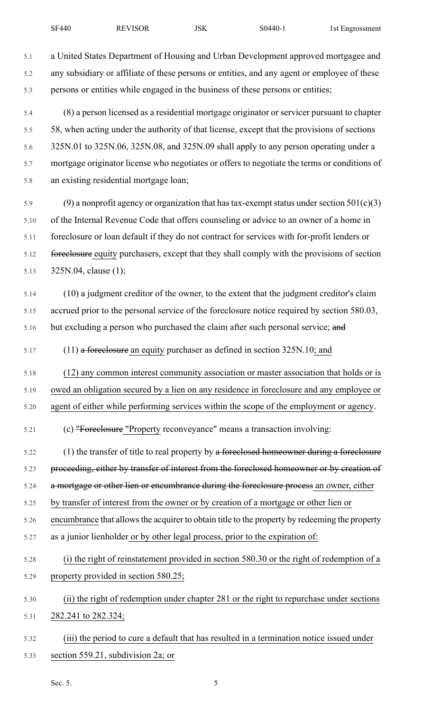5.1 a United States Department of Housing and Urban Development approved mortgagee and 5.2 any subsidiary or affiliate of these persons or entities, and any agent or employee of these 5.3 persons or entities while engaged in the business of these persons or entities;

5.4 (8) a person licensed as a residential mortgage originator or servicer pursuant to chapter 5.5 58, when acting under the authority of that license, except that the provisions of sections 5.6 325N.01 to 325N.06, 325N.08, and 325N.09 shall apply to any person operating under a 5.7 mortgage originator license who negotiates or offers to negotiate the terms or conditions of 5.8 an existing residential mortgage loan;

5.9 (9) a nonprofit agency or organization that has tax-exempt status under section  $501(c)(3)$ 5.10 of the Internal Revenue Code that offers counseling or advice to an owner of a home in 5.11 foreclosure or loan default if they do not contract for services with for-profit lenders or 5.12 foreclosure equity purchasers, except that they shall comply with the provisions of section 5.13 325N.04, clause (1);

5.14 (10) a judgment creditor of the owner, to the extent that the judgment creditor's claim 5.15 accrued prior to the personal service of the foreclosure notice required by section 580.03, 5.16 but excluding a person who purchased the claim after such personal service; and

5.17 (11) a foreclosure an equity purchaser as defined in section 325N.10; and

5.18 (12) any common interest community association or master association that holds or is 5.19 owed an obligation secured by a lien on any residence in foreclosure and any employee or 5.20 agent of either while performing services within the scope of the employment or agency.

5.21 (c) "Foreclosure "Property reconveyance" means a transaction involving:

5.22 (1) the transfer of title to real property by a foreclosed homeowner during a foreclosure 5.23 proceeding, either by transfer of interest from the foreclosed homeowner or by creation of 5.24 a mortgage or other lien or encumbrance during the foreclosure process an owner, either 5.25 by transfer of interest from the owner or by creation of a mortgage or other lien or 5.26 encumbrance that allows the acquirer to obtain title to the property by redeeming the property

- 5.27 as a junior lienholder or by other legal process, prior to the expiration of:
- 5.28 (i) the right of reinstatement provided in section 580.30 or the right of redemption of a 5.29 property provided in section 580.25;
- 5.30 (ii) the right of redemption under chapter 281 or the right to repurchase under sections 5.31 282.241 to 282.324;
- 5.32 (iii) the period to cure a default that has resulted in a termination notice issued under 5.33 section 559.21, subdivision 2a; or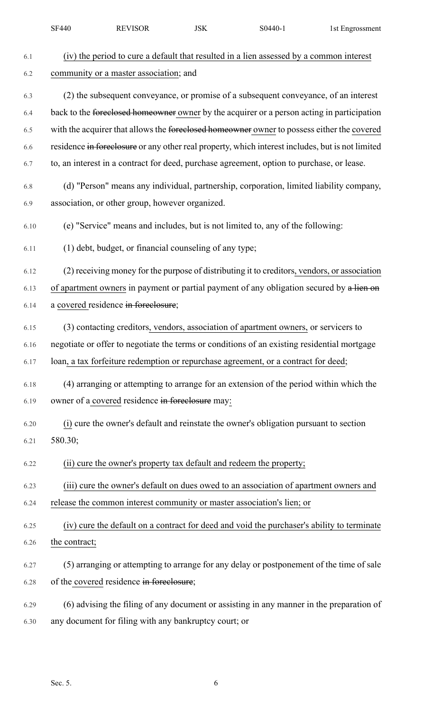|      | <b>SF440</b>  | <b>REVISOR</b>                                                      | <b>JSK</b> | S0440-1                                                                                          | 1st Engrossment |
|------|---------------|---------------------------------------------------------------------|------------|--------------------------------------------------------------------------------------------------|-----------------|
| 6.1  |               |                                                                     |            | (iv) the period to cure a default that resulted in a lien assessed by a common interest          |                 |
| 6.2  |               | community or a master association; and                              |            |                                                                                                  |                 |
| 6.3  |               |                                                                     |            | (2) the subsequent conveyance, or promise of a subsequent conveyance, of an interest             |                 |
| 6.4  |               |                                                                     |            | back to the foreclosed homeowner owner by the acquirer or a person acting in participation       |                 |
| 6.5  |               |                                                                     |            | with the acquirer that allows the foreclosed homeowner owner to possess either the covered       |                 |
| 6.6  |               |                                                                     |            | residence in foreclosure or any other real property, which interest includes, but is not limited |                 |
| 6.7  |               |                                                                     |            | to, an interest in a contract for deed, purchase agreement, option to purchase, or lease.        |                 |
| 6.8  |               |                                                                     |            | (d) "Person" means any individual, partnership, corporation, limited liability company,          |                 |
| 6.9  |               | association, or other group, however organized.                     |            |                                                                                                  |                 |
| 6.10 |               |                                                                     |            | (e) "Service" means and includes, but is not limited to, any of the following:                   |                 |
| 6.11 |               | (1) debt, budget, or financial counseling of any type;              |            |                                                                                                  |                 |
| 6.12 |               |                                                                     |            | (2) receiving money for the purpose of distributing it to creditors, vendors, or association     |                 |
| 6.13 |               |                                                                     |            | of apartment owners in payment or partial payment of any obligation secured by a lien on         |                 |
| 6.14 |               | a covered residence in foreclosure;                                 |            |                                                                                                  |                 |
| 6.15 |               |                                                                     |            | (3) contacting creditors, vendors, association of apartment owners, or servicers to              |                 |
| 6.16 |               |                                                                     |            | negotiate or offer to negotiate the terms or conditions of an existing residential mortgage      |                 |
| 6.17 |               |                                                                     |            | loan, a tax forfeiture redemption or repurchase agreement, or a contract for deed;               |                 |
| 6.18 |               |                                                                     |            | (4) arranging or attempting to arrange for an extension of the period within which the           |                 |
| 6.19 |               | owner of a covered residence in foreclosure may:                    |            |                                                                                                  |                 |
| 6.20 |               |                                                                     |            | (i) cure the owner's default and reinstate the owner's obligation pursuant to section            |                 |
| 6.21 | 580.30;       |                                                                     |            |                                                                                                  |                 |
| 6.22 |               | (ii) cure the owner's property tax default and redeem the property; |            |                                                                                                  |                 |
| 6.23 |               |                                                                     |            | (iii) cure the owner's default on dues owed to an association of apartment owners and            |                 |
| 6.24 |               |                                                                     |            | release the common interest community or master association's lien; or                           |                 |
| 6.25 |               |                                                                     |            | (iv) cure the default on a contract for deed and void the purchaser's ability to terminate       |                 |
| 6.26 | the contract; |                                                                     |            |                                                                                                  |                 |
| 6.27 |               |                                                                     |            | (5) arranging or attempting to arrange for any delay or postponement of the time of sale         |                 |
| 6.28 |               | of the covered residence in foreclosure;                            |            |                                                                                                  |                 |
| 6.29 |               |                                                                     |            | (6) advising the filing of any document or assisting in any manner in the preparation of         |                 |
| 6.30 |               | any document for filing with any bankruptcy court; or               |            |                                                                                                  |                 |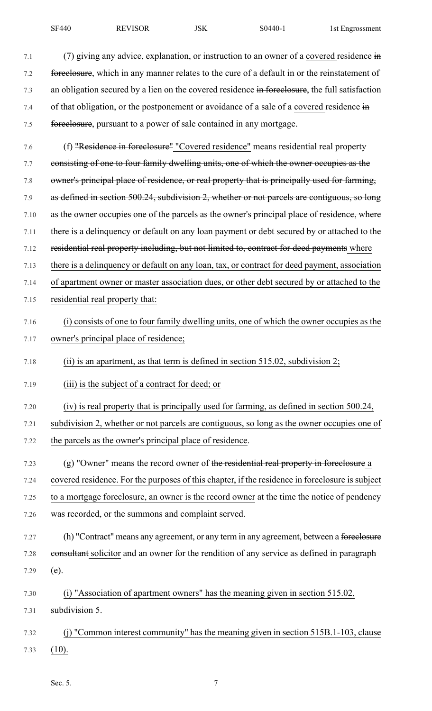7.1 (7) giving any advice, explanation, or instruction to an owner of a covered residence  $\frac{1}{2}$ 7.2 foreclosure, which in any manner relates to the cure of a default in or the reinstatement of 7.3 an obligation secured by a lien on the covered residence in foreclosure, the full satisfaction 7.4 of that obligation, or the postponement or avoidance of a sale of a covered residence in 7.5 foreclosure, pursuant to a power of sale contained in any mortgage.

7.6 (f) "Residence in foreclosure" "Covered residence" means residential real property 7.7 consisting of one to four family dwelling units, one of which the owner occupies as the 7.8 owner's principal place of residence, or real property that is principally used for farming, 7.9 as defined in section 500.24, subdivision 2, whether or not parcels are contiguous, so long 7.10 as the owner occupies one of the parcels as the owner's principal place of residence, where 7.11 there is a delinquency or default on any loan payment or debt secured by or attached to the 7.12 residential real property including, but not limited to, contract for deed payments where 7.13 there is a delinquency or default on any loan, tax, or contract for deed payment, association 7.14 of apartment owner or master association dues, or other debt secured by or attached to the 7.15 residential real property that: 7.16 (i) consists of one to four family dwelling units, one of which the owner occupies as the 7.17 owner's principal place of residence; 7.18 (ii) is an apartment, as that term is defined in section 515.02, subdivision 2; 7.19 (iii) is the subject of a contract for deed; or 7.20 (iv) is real property that is principally used for farming, as defined in section 500.24,

7.21 subdivision 2, whether or not parcels are contiguous, so long as the owner occupies one of 7.22 the parcels as the owner's principal place of residence.

- $7.23$  (g) "Owner" means the record owner of the residential real property in foreclosure a 7.24 covered residence. For the purposes of this chapter, if the residence in foreclosure is subject 7.25 to a mortgage foreclosure, an owner is the record owner at the time the notice of pendency 7.26 was recorded, or the summons and complaint served.
- 7.27 (h) "Contract" means any agreement, or any term in any agreement, between a foreclosure 7.28 eonsultant solicitor and an owner for the rendition of any service as defined in paragraph 7.29 (e).
- 7.30 (i) "Association of apartment owners" has the meaning given in section 515.02, 7.31 subdivision 5.
- 7.32 (j) "Common interest community" has the meaning given in section 515B.1-103, clause 7.33 (10).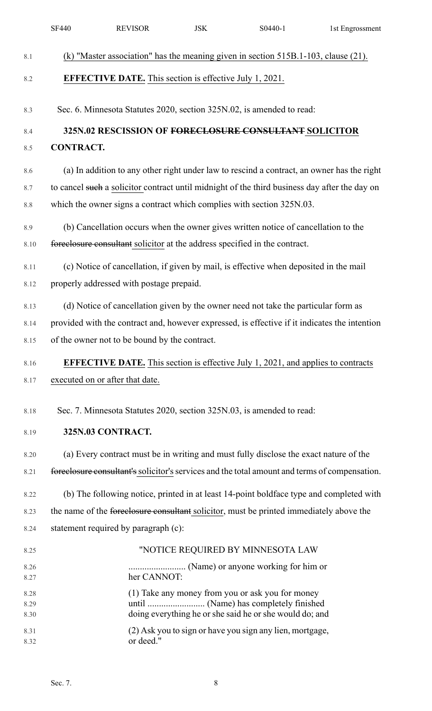|              | <b>SF440</b>                                                                          | <b>REVISOR</b> | <b>JSK</b>                                                     | $S0440-1$                                                                                     | 1st Engrossment |  |  |  |
|--------------|---------------------------------------------------------------------------------------|----------------|----------------------------------------------------------------|-----------------------------------------------------------------------------------------------|-----------------|--|--|--|
| 8.1          |                                                                                       |                |                                                                | (k) "Master association" has the meaning given in section $515B.1-103$ , clause (21).         |                 |  |  |  |
| 8.2          |                                                                                       |                | <b>EFFECTIVE DATE.</b> This section is effective July 1, 2021. |                                                                                               |                 |  |  |  |
| 8.3          |                                                                                       |                |                                                                | Sec. 6. Minnesota Statutes 2020, section 325N.02, is amended to read:                         |                 |  |  |  |
| 8.4          |                                                                                       |                |                                                                | 325N.02 RESCISSION OF FORECLOSURE CONSULTANT SOLICITOR                                        |                 |  |  |  |
| 8.5          | <b>CONTRACT.</b>                                                                      |                |                                                                |                                                                                               |                 |  |  |  |
| 8.6          |                                                                                       |                |                                                                | (a) In addition to any other right under law to rescind a contract, an owner has the right    |                 |  |  |  |
| 8.7          |                                                                                       |                |                                                                | to cancel such a solicitor contract until midnight of the third business day after the day on |                 |  |  |  |
| $8.8\,$      | which the owner signs a contract which complies with section 325N.03.                 |                |                                                                |                                                                                               |                 |  |  |  |
| 8.9          | (b) Cancellation occurs when the owner gives written notice of cancellation to the    |                |                                                                |                                                                                               |                 |  |  |  |
| 8.10         |                                                                                       |                |                                                                | foreclosure consultant solicitor at the address specified in the contract.                    |                 |  |  |  |
| 8.11         | (c) Notice of cancellation, if given by mail, is effective when deposited in the mail |                |                                                                |                                                                                               |                 |  |  |  |
| 8.12         | properly addressed with postage prepaid.                                              |                |                                                                |                                                                                               |                 |  |  |  |
| 8.13         | (d) Notice of cancellation given by the owner need not take the particular form as    |                |                                                                |                                                                                               |                 |  |  |  |
| 8.14         |                                                                                       |                |                                                                | provided with the contract and, however expressed, is effective if it indicates the intention |                 |  |  |  |
| 8.15         | of the owner not to be bound by the contract.                                         |                |                                                                |                                                                                               |                 |  |  |  |
| 8.16         |                                                                                       |                |                                                                | <b>EFFECTIVE DATE.</b> This section is effective July 1, 2021, and applies to contracts       |                 |  |  |  |
| 8.17         | executed on or after that date.                                                       |                |                                                                |                                                                                               |                 |  |  |  |
| 8.18         |                                                                                       |                |                                                                | Sec. 7. Minnesota Statutes 2020, section 325N.03, is amended to read:                         |                 |  |  |  |
| 8.19         | 325N.03 CONTRACT.                                                                     |                |                                                                |                                                                                               |                 |  |  |  |
| 8.20         |                                                                                       |                |                                                                | (a) Every contract must be in writing and must fully disclose the exact nature of the         |                 |  |  |  |
| 8.21         |                                                                                       |                |                                                                | foreelosure consultant's solicitor's services and the total amount and terms of compensation. |                 |  |  |  |
| 8.22         |                                                                                       |                |                                                                | (b) The following notice, printed in at least 14-point boldface type and completed with       |                 |  |  |  |
| 8.23         |                                                                                       |                |                                                                | the name of the foreclosure consultant solicitor, must be printed immediately above the       |                 |  |  |  |
| 8.24         | statement required by paragraph (c):                                                  |                |                                                                |                                                                                               |                 |  |  |  |
| 8.25         |                                                                                       |                |                                                                | "NOTICE REQUIRED BY MINNESOTA LAW                                                             |                 |  |  |  |
| 8.26<br>8.27 |                                                                                       | her CANNOT:    |                                                                |                                                                                               |                 |  |  |  |
| 8.28         |                                                                                       |                |                                                                | (1) Take any money from you or ask you for money                                              |                 |  |  |  |
| 8.29<br>8.30 |                                                                                       |                |                                                                | doing everything he or she said he or she would do; and                                       |                 |  |  |  |
| 8.31<br>8.32 |                                                                                       | or deed."      |                                                                | (2) Ask you to sign or have you sign any lien, mortgage,                                      |                 |  |  |  |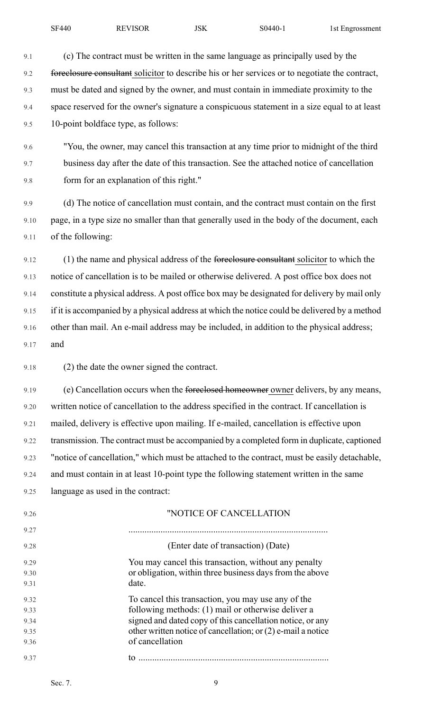9.1 (c) The contract must be written in the same language as principally used by the 9.2 foreclosure consultant solicitor to describe his or her services or to negotiate the contract, 9.3 must be dated and signed by the owner, and must contain in immediate proximity to the 9.4 space reserved for the owner's signature a conspicuous statement in a size equal to at least 9.5 10-point boldface type, as follows:

9.6 "You, the owner, may cancel this transaction at any time prior to midnight of the third 9.7 business day after the date of this transaction. See the attached notice of cancellation 9.8 form for an explanation of this right."

9.9 (d) The notice of cancellation must contain, and the contract must contain on the first 9.10 page, in a type size no smaller than that generally used in the body of the document, each 9.11 of the following:

9.12 (1) the name and physical address of the foreclosure consultant solicitor to which the 9.13 notice of cancellation is to be mailed or otherwise delivered. A post office box does not 9.14 constitute a physical address. A post office box may be designated for delivery by mail only 9.15 if it is accompanied by a physical address at which the notice could be delivered by a method 9.16 other than mail. An e-mail address may be included, in addition to the physical address; 9.17 and

9.18 (2) the date the owner signed the contract.

9.19 (e) Cancellation occurs when the <del>foreclosed homeowner</del> owner delivers, by any means, 9.20 written notice of cancellation to the address specified in the contract. If cancellation is 9.21 mailed, delivery is effective upon mailing. If e-mailed, cancellation is effective upon 9.22 transmission. The contract must be accompanied by a completed form in duplicate, captioned 9.23 "notice of cancellation," which must be attached to the contract, must be easily detachable, 9.24 and must contain in at least 10-point type the following statement written in the same 9.25 language as used in the contract:

| 9.26 | "NOTICE OF CANCELLATION                                        |  |  |  |  |
|------|----------------------------------------------------------------|--|--|--|--|
| 9.27 |                                                                |  |  |  |  |
| 9.28 | (Enter date of transaction) (Date)                             |  |  |  |  |
| 9.29 | You may cancel this transaction, without any penalty           |  |  |  |  |
| 9.30 | or obligation, within three business days from the above       |  |  |  |  |
| 9.31 | date.                                                          |  |  |  |  |
| 9.32 | To cancel this transaction, you may use any of the             |  |  |  |  |
| 9.33 | following methods: (1) mail or otherwise deliver a             |  |  |  |  |
| 9.34 | signed and dated copy of this cancellation notice, or any      |  |  |  |  |
| 9.35 | other written notice of cancellation; or $(2)$ e-mail a notice |  |  |  |  |
| 9.36 | of cancellation                                                |  |  |  |  |
| 9.37 | tο                                                             |  |  |  |  |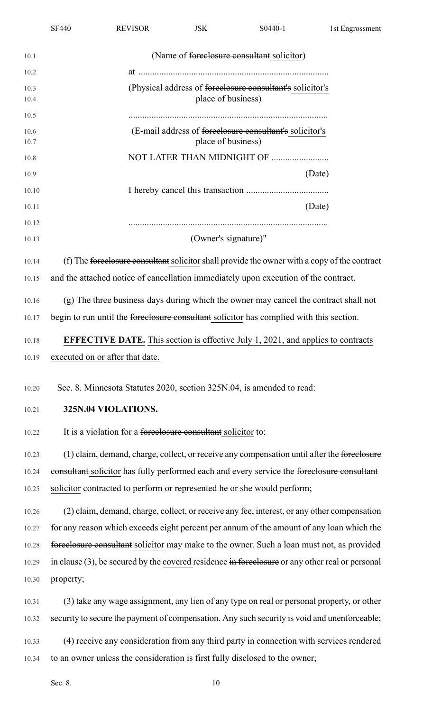|                | <b>SF440</b>                                                                                 | <b>REVISOR</b>                  | <b>JSK</b>           | S0440-1                                                                                            | 1st Engrossment |  |  |  |
|----------------|----------------------------------------------------------------------------------------------|---------------------------------|----------------------|----------------------------------------------------------------------------------------------------|-----------------|--|--|--|
| 10.1           |                                                                                              |                                 |                      | (Name of <del>foreclosure consultant</del> solicitor)                                              |                 |  |  |  |
| 10.2           |                                                                                              |                                 |                      |                                                                                                    |                 |  |  |  |
| 10.3<br>10.4   |                                                                                              |                                 | place of business)   | (Physical address of foreclosure consultant's solicitor's                                          |                 |  |  |  |
| 10.5           |                                                                                              |                                 |                      |                                                                                                    |                 |  |  |  |
| 10.6<br>10.7   |                                                                                              |                                 | place of business)   | (E-mail address of foreclosure consultant's solicitor's                                            |                 |  |  |  |
| 10.8           |                                                                                              |                                 |                      | NOT LATER THAN MIDNIGHT OF                                                                         |                 |  |  |  |
| 10.9           |                                                                                              |                                 |                      | (Date)                                                                                             |                 |  |  |  |
| 10.10          |                                                                                              |                                 |                      |                                                                                                    |                 |  |  |  |
| 10.11          |                                                                                              |                                 |                      | (Date)                                                                                             |                 |  |  |  |
| 10.12<br>10.13 |                                                                                              |                                 | (Owner's signature)" |                                                                                                    |                 |  |  |  |
| 10.14          | (f) The foreclosure consultant solicitor shall provide the owner with a copy of the contract |                                 |                      |                                                                                                    |                 |  |  |  |
| 10.15          | and the attached notice of cancellation immediately upon execution of the contract.          |                                 |                      |                                                                                                    |                 |  |  |  |
| 10.16          | (g) The three business days during which the owner may cancel the contract shall not         |                                 |                      |                                                                                                    |                 |  |  |  |
| 10.17          | begin to run until the foreclosure consultant solicitor has complied with this section.      |                                 |                      |                                                                                                    |                 |  |  |  |
| 10.18          |                                                                                              |                                 |                      | <b>EFFECTIVE DATE.</b> This section is effective July 1, 2021, and applies to contracts            |                 |  |  |  |
| 10.19          |                                                                                              | executed on or after that date. |                      |                                                                                                    |                 |  |  |  |
|                |                                                                                              |                                 |                      |                                                                                                    |                 |  |  |  |
| 10.20          |                                                                                              |                                 |                      | Sec. 8. Minnesota Statutes 2020, section 325N.04, is amended to read:                              |                 |  |  |  |
| 10.21          |                                                                                              | 325N.04 VIOLATIONS.             |                      |                                                                                                    |                 |  |  |  |
| 10.22          | It is a violation for a foreclosure consultant solicitor to:                                 |                                 |                      |                                                                                                    |                 |  |  |  |
| 10.23          |                                                                                              |                                 |                      | (1) claim, demand, charge, collect, or receive any compensation until after the foreclosure        |                 |  |  |  |
| 10.24          |                                                                                              |                                 |                      | consultant solicitor has fully performed each and every service the foreelosure consultant         |                 |  |  |  |
| 10.25          |                                                                                              |                                 |                      | solicitor contracted to perform or represented he or she would perform;                            |                 |  |  |  |
| 10.26          |                                                                                              |                                 |                      | (2) claim, demand, charge, collect, or receive any fee, interest, or any other compensation        |                 |  |  |  |
| 10.27          |                                                                                              |                                 |                      | for any reason which exceeds eight percent per annum of the amount of any loan which the           |                 |  |  |  |
| 10.28          |                                                                                              |                                 |                      | foreelosure consultant solicitor may make to the owner. Such a loan must not, as provided          |                 |  |  |  |
| 10.29          |                                                                                              |                                 |                      | in clause $(3)$ , be secured by the covered residence in foreclosure or any other real or personal |                 |  |  |  |
| 10.30          | property;                                                                                    |                                 |                      |                                                                                                    |                 |  |  |  |
| 10.31          |                                                                                              |                                 |                      | (3) take any wage assignment, any lien of any type on real or personal property, or other          |                 |  |  |  |
| 10.32          |                                                                                              |                                 |                      | security to secure the payment of compensation. Any such security is void and unenforceable;       |                 |  |  |  |
| 10.33          |                                                                                              |                                 |                      | (4) receive any consideration from any third party in connection with services rendered            |                 |  |  |  |
| 10.34          |                                                                                              |                                 |                      | to an owner unless the consideration is first fully disclosed to the owner;                        |                 |  |  |  |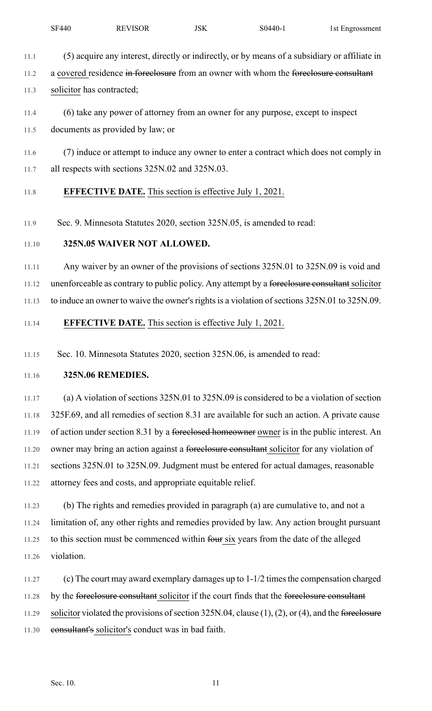- 11.1 (5) acquire any interest, directly or indirectly, or by means of a subsidiary or affiliate in
- 11.2 a covered residence in foreclosure from an owner with whom the foreclosure consultant
- 11.3 solicitor has contracted;
- 11.4 (6) take any power of attorney from an owner for any purpose, except to inspect
- 11.5 documents as provided by law; or
- 11.6 (7) induce or attempt to induce any owner to enter a contract which does not comply in 11.7 all respects with sections 325N.02 and 325N.03.

# 11.8 **EFFECTIVE DATE.** This section is effective July 1, 2021.

11.9 Sec. 9. Minnesota Statutes 2020, section 325N.05, is amended to read:

## 11.10 **325N.05 WAIVER NOT ALLOWED.**

11.11 Any waiver by an owner of the provisions of sections 325N.01 to 325N.09 is void and 11.12 unenforceable as contrary to public policy. Any attempt by a foreclosure consultant solicitor 11.13 to induce an owner to waive the owner's rights is a violation of sections 325N.01 to 325N.09.

## 11.14 **EFFECTIVE DATE.** This section is effective July 1, 2021.

11.15 Sec. 10. Minnesota Statutes 2020, section 325N.06, is amended to read:

## 11.16 **325N.06 REMEDIES.**

11.17 (a) A violation of sections 325N.01 to 325N.09 is considered to be a violation of section 11.18 325F.69, and all remedies of section 8.31 are available for such an action. A private cause 11.19 of action under section 8.31 by a foreclosed homeowner owner is in the public interest. An 11.20 owner may bring an action against a foreclosure consultant solicitor for any violation of 11.21 sections 325N.01 to 325N.09. Judgment must be entered for actual damages, reasonable 11.22 attorney fees and costs, and appropriate equitable relief.

11.23 (b) The rights and remedies provided in paragraph (a) are cumulative to, and not a 11.24 limitation of, any other rights and remedies provided by law. Any action brought pursuant 11.25 to this section must be commenced within four six years from the date of the alleged 11.26 violation.

11.27 (c) The court may award exemplary damages up to 1-1/2 times the compensation charged 11.28 by the foreclosure consultant solicitor if the court finds that the foreclosure consultant 11.29 solicitor violated the provisions of section  $325N.04$ , clause (1), (2), or (4), and the foreclosure 11.30 consultant's solicitor's conduct was in bad faith.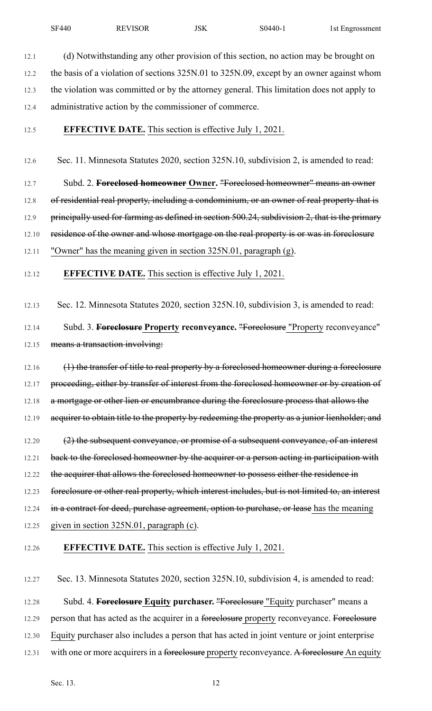12.1 (d) Notwithstanding any other provision of this section, no action may be brought on 12.2 the basis of a violation of sections 325N.01 to 325N.09, except by an owner against whom 12.3 the violation was committed or by the attorney general. This limitation does not apply to 12.4 administrative action by the commissioner of commerce.

#### 12.5 **EFFECTIVE DATE.** This section is effective July 1, 2021.

12.6 Sec. 11. Minnesota Statutes 2020, section 325N.10, subdivision 2, is amended to read:

12.7 Subd. 2. **Foreclosed homeowner Owner.** "Foreclosed homeowner" means an owner 12.8 of residential real property, including a condominium, or an owner of real property that is 12.9 principally used for farming as defined in section 500.24, subdivision 2, that is the primary 12.10 residence of the owner and whose mortgage on the real property is or was in foreclosure 12.11 "Owner" has the meaning given in section 325N.01, paragraph (g).

12.12 **EFFECTIVE DATE.** This section is effective July 1, 2021.

12.13 Sec. 12. Minnesota Statutes 2020, section 325N.10, subdivision 3, is amended to read:

12.14 Subd. 3. **Foreclosure Property reconveyance.** "Foreclosure "Property reconveyance" 12.15 means a transaction involving:

12.16 (1) the transfer of title to real property by a foreclosed homeowner during a foreclosure 12.17 proceeding, either by transfer of interest from the foreclosed homeowner or by creation of 12.18 a mortgage or other lien or encumbrance during the foreclosure process that allows the 12.19 acquirer to obtain title to the property by redeeming the property as a junior lienholder; and

12.20 (2) the subsequent conveyance, or promise of a subsequent conveyance, of an interest 12.21 back to the foreclosed homeowner by the acquirer or a person acting in participation with 12.22 the acquirer that allows the foreclosed homeowner to possess either the residence in 12.23 foreclosure or other real property, which interest includes, but is not limited to, an interest 12.24 in a contract for deed, purchase agreement, option to purchase, or lease has the meaning

12.25 given in section 325N.01, paragraph (c).

#### 12.26 **EFFECTIVE DATE.** This section is effective July 1, 2021.

12.27 Sec. 13. Minnesota Statutes 2020, section 325N.10, subdivision 4, is amended to read: 12.28 Subd. 4. **Foreclosure Equity purchaser.** "Foreclosure "Equity purchaser" means a 12.29 person that has acted as the acquirer in a foreclosure property reconveyance. Foreclosure 12.30 Equity purchaser also includes a person that has acted in joint venture or joint enterprise 12.31 with one or more acquirers in a foreclosure property reconveyance. A foreclosure An equity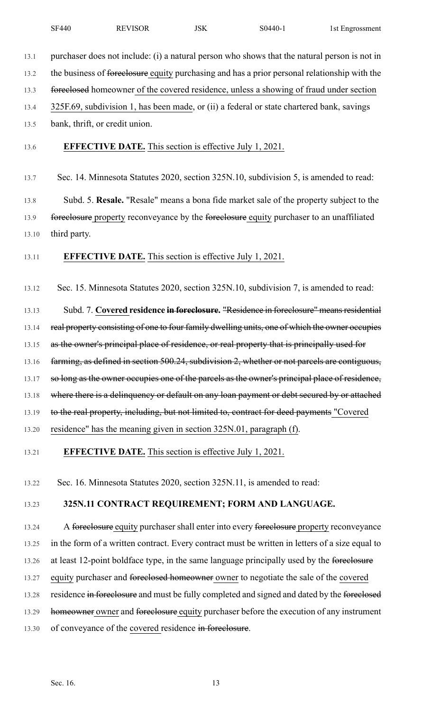| <b>SF440</b> | <b>REVISOR</b> | <b>JSK</b> | $S0440-$ | 1st Engrossment |
|--------------|----------------|------------|----------|-----------------|
|--------------|----------------|------------|----------|-----------------|

13.1 purchaser does not include: (i) a natural person who shows that the natural person is not in

13.2 the business of foreclosure equity purchasing and has a prior personal relationship with the

13.3 foreclosed homeowner of the covered residence, unless a showing of fraud under section

13.4 325F.69, subdivision 1, has been made, or (ii) a federal or state chartered bank, savings

13.5 bank, thrift, or credit union.

13.6 **EFFECTIVE DATE.** This section is effective July 1, 2021.

13.7 Sec. 14. Minnesota Statutes 2020, section 325N.10, subdivision 5, is amended to read:

13.8 Subd. 5. **Resale.** "Resale" means a bona fide market sale of the property subject to the 13.9 foreclosure property reconveyance by the foreclosure equity purchaser to an unaffiliated 13.10 third party.

13.11 **EFFECTIVE DATE.** This section is effective July 1, 2021.

13.12 Sec. 15. Minnesota Statutes 2020, section 325N.10, subdivision 7, is amended to read:

13.13 Subd. 7. **Covered residence in foreclosure.** "Residence in foreclosure" meansresidential 13.14 real property consisting of one to four family dwelling units, one of which the owner occupies 13.15 as the owner's principal place of residence, or real property that is principally used for 13.16 farming, as defined in section 500.24, subdivision 2, whether or not parcels are contiguous, 13.17 so long as the owner occupies one of the parcels as the owner's principal place of residence, 13.18 where there is a delinquency or default on any loan payment or debt secured by or attached 13.19 to the real property, including, but not limited to, contract for deed payments "Covered 13.20 residence" has the meaning given in section 325N.01, paragraph (f).

## 13.21 **EFFECTIVE DATE.** This section is effective July 1, 2021.

13.22 Sec. 16. Minnesota Statutes 2020, section 325N.11, is amended to read:

## 13.23 **325N.11 CONTRACT REQUIREMENT; FORM AND LANGUAGE.**

13.24 A foreclosure equity purchaser shall enter into every foreclosure property reconveyance 13.25 in the form of a written contract. Every contract must be written in letters of a size equal to 13.26 at least 12-point boldface type, in the same language principally used by the foreclosure 13.27 equity purchaser and foreclosed homeowner owner to negotiate the sale of the covered

13.28 residence in foreclosure and must be fully completed and signed and dated by the foreclosed

- 13.29 homeowner owner and foreclosure equity purchaser before the execution of any instrument
- 13.30 of conveyance of the covered residence in foreclosure.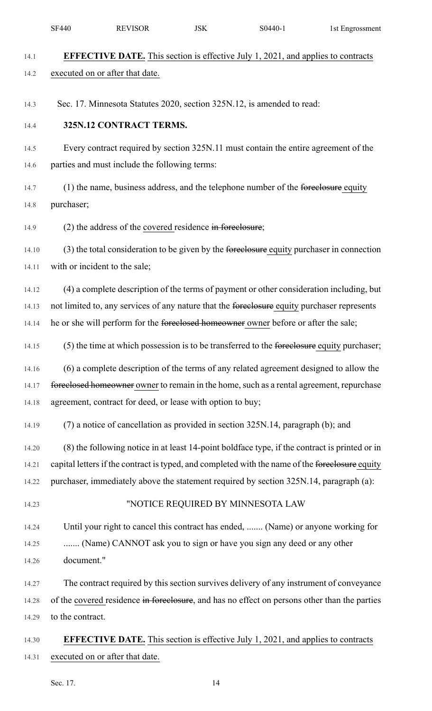|       | <b>SF440</b>     | <b>REVISOR</b>                                             | <b>JSK</b> | S0440-1                                                                                         | 1st Engrossment |
|-------|------------------|------------------------------------------------------------|------------|-------------------------------------------------------------------------------------------------|-----------------|
| 14.1  |                  |                                                            |            | <b>EFFECTIVE DATE.</b> This section is effective July 1, 2021, and applies to contracts         |                 |
| 14.2  |                  | executed on or after that date.                            |            |                                                                                                 |                 |
|       |                  |                                                            |            |                                                                                                 |                 |
| 14.3  |                  |                                                            |            | Sec. 17. Minnesota Statutes 2020, section 325N.12, is amended to read:                          |                 |
| 14.4  |                  | 325N.12 CONTRACT TERMS.                                    |            |                                                                                                 |                 |
| 14.5  |                  |                                                            |            | Every contract required by section 325N.11 must contain the entire agreement of the             |                 |
| 14.6  |                  | parties and must include the following terms:              |            |                                                                                                 |                 |
| 14.7  |                  |                                                            |            | (1) the name, business address, and the telephone number of the foreelosure equity              |                 |
| 14.8  | purchaser;       |                                                            |            |                                                                                                 |                 |
| 14.9  |                  | $(2)$ the address of the covered residence in foreclosure; |            |                                                                                                 |                 |
| 14.10 |                  |                                                            |            | (3) the total consideration to be given by the foreclosure equity purchaser in connection       |                 |
| 14.11 |                  | with or incident to the sale;                              |            |                                                                                                 |                 |
| 14.12 |                  |                                                            |            | (4) a complete description of the terms of payment or other consideration including, but        |                 |
| 14.13 |                  |                                                            |            | not limited to, any services of any nature that the foreelosure equity purchaser represents     |                 |
| 14.14 |                  |                                                            |            | he or she will perform for the foreclosed homeowner owner before or after the sale;             |                 |
| 14.15 |                  |                                                            |            | (5) the time at which possession is to be transferred to the fore element equity purchaser;     |                 |
| 14.16 |                  |                                                            |            | (6) a complete description of the terms of any related agreement designed to allow the          |                 |
| 14.17 |                  |                                                            |            | fore elosed homeowner owner to remain in the home, such as a rental agreement, repurchase       |                 |
| 14.18 |                  | agreement, contract for deed, or lease with option to buy; |            |                                                                                                 |                 |
| 14.19 |                  |                                                            |            | (7) a notice of cancellation as provided in section 325N.14, paragraph (b); and                 |                 |
| 14.20 |                  |                                                            |            | (8) the following notice in at least 14-point boldface type, if the contract is printed or in   |                 |
| 14.21 |                  |                                                            |            | capital letters if the contract is typed, and completed with the name of the foreclosure equity |                 |
| 14.22 |                  |                                                            |            | purchaser, immediately above the statement required by section 325N.14, paragraph (a):          |                 |
| 14.23 |                  |                                                            |            | "NOTICE REQUIRED BY MINNESOTA LAW                                                               |                 |
| 14.24 |                  |                                                            |            | Until your right to cancel this contract has ended,  (Name) or anyone working for               |                 |
| 14.25 |                  |                                                            |            | (Name) CANNOT ask you to sign or have you sign any deed or any other                            |                 |
| 14.26 | document."       |                                                            |            |                                                                                                 |                 |
| 14.27 |                  |                                                            |            | The contract required by this section survives delivery of any instrument of conveyance         |                 |
| 14.28 |                  |                                                            |            | of the covered residence in foreclosure, and has no effect on persons other than the parties    |                 |
| 14.29 | to the contract. |                                                            |            |                                                                                                 |                 |
| 14.30 |                  |                                                            |            | <b>EFFECTIVE DATE.</b> This section is effective July 1, 2021, and applies to contracts         |                 |
| 14.31 |                  | executed on or after that date.                            |            |                                                                                                 |                 |

Sec. 17. 14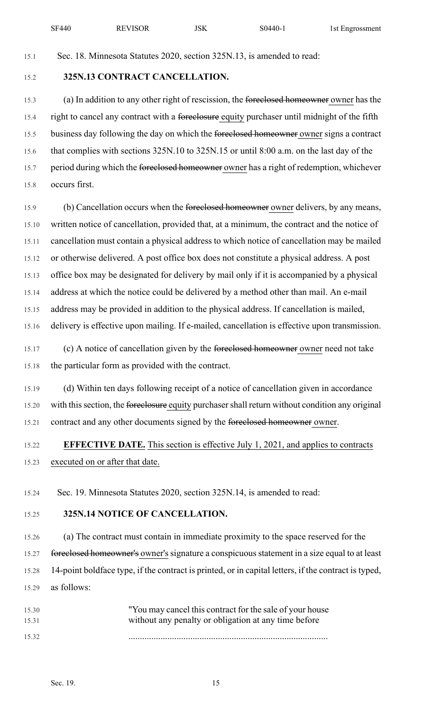| <b>SF440</b> | <b>REVISOR</b> | JSK | S <sub>0440</sub> | 1st Engrossment |
|--------------|----------------|-----|-------------------|-----------------|
|--------------|----------------|-----|-------------------|-----------------|

15.1 Sec. 18. Minnesota Statutes 2020, section 325N.13, is amended to read:

## 15.2 **325N.13 CONTRACT CANCELLATION.**

15.3 (a) In addition to any other right of rescission, the foreclosed homeowner owner has the 15.4 right to cancel any contract with a foreclosure equity purchaser until midnight of the fifth 15.5 business day following the day on which the foreclosed homeowner owner signs a contract 15.6 that complies with sections 325N.10 to 325N.15 or until 8:00 a.m. on the last day of the 15.7 period during which the foreclosed homeowner owner has a right of redemption, whichever 15.8 occurs first.

15.9 (b) Cancellation occurs when the foreclosed homeowner owner delivers, by any means, 15.10 written notice of cancellation, provided that, at a minimum, the contract and the notice of 15.11 cancellation must contain a physical address to which notice of cancellation may be mailed 15.12 or otherwise delivered. A post office box does not constitute a physical address. A post 15.13 office box may be designated for delivery by mail only if it is accompanied by a physical 15.14 address at which the notice could be delivered by a method other than mail. An e-mail 15.15 address may be provided in addition to the physical address. If cancellation is mailed, 15.16 delivery is effective upon mailing. If e-mailed, cancellation is effective upon transmission.

15.17 (c) A notice of cancellation given by the foreclosed homeowner owner need not take 15.18 the particular form as provided with the contract.

15.19 (d) Within ten days following receipt of a notice of cancellation given in accordance 15.20 with this section, the foreclosure equity purchaser shall return without condition any original 15.21 contract and any other documents signed by the foreclosed homeowner owner.

# 15.22 **EFFECTIVE DATE.** This section is effective July 1, 2021, and applies to contracts 15.23 executed on or after that date.

15.24 Sec. 19. Minnesota Statutes 2020, section 325N.14, is amended to read:

## 15.25 **325N.14 NOTICE OF CANCELLATION.**

15.26 (a) The contract must contain in immediate proximity to the space reserved for the 15.27 foreelosed homeowner's owner's signature a conspicuous statement in a size equal to at least 15.28 14-point boldface type, if the contract is printed, or in capital letters, if the contract is typed, 15.29 as follows:

| 15.30 | "You may cancel this contract for the sale of your house" |
|-------|-----------------------------------------------------------|
| 15.31 | without any penalty or obligation at any time before      |
| 15.32 |                                                           |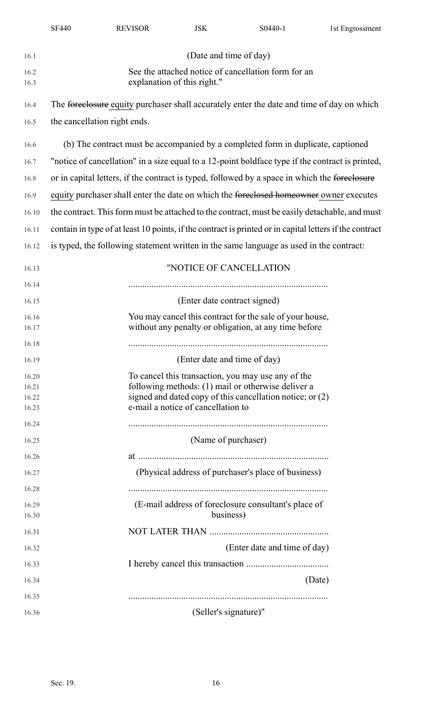|                | <b>SF440</b>                                                                                                      | <b>REVISOR</b> | <b>JSK</b>                         | S0440-1                                                                                                  | 1st Engrossment |  |  |  |
|----------------|-------------------------------------------------------------------------------------------------------------------|----------------|------------------------------------|----------------------------------------------------------------------------------------------------------|-----------------|--|--|--|
| 16.1           |                                                                                                                   |                | (Date and time of day)             |                                                                                                          |                 |  |  |  |
| 16.2<br>16.3   | See the attached notice of cancellation form for an<br>explanation of this right."                                |                |                                    |                                                                                                          |                 |  |  |  |
| 16.4           |                                                                                                                   |                |                                    | The fore elosure equity purchaser shall accurately enter the date and time of day on which               |                 |  |  |  |
| 16.5           | the cancellation right ends.                                                                                      |                |                                    |                                                                                                          |                 |  |  |  |
| 16.6           |                                                                                                                   |                |                                    | (b) The contract must be accompanied by a completed form in duplicate, captioned                         |                 |  |  |  |
| 16.7           | "notice of cancellation" in a size equal to a 12-point boldface type if the contract is printed,                  |                |                                    |                                                                                                          |                 |  |  |  |
| 16.8           |                                                                                                                   |                |                                    | or in capital letters, if the contract is typed, followed by a space in which the foreclosure            |                 |  |  |  |
| 16.9           |                                                                                                                   |                |                                    | equity purchaser shall enter the date on which the foreclosed homeowner owner executes                   |                 |  |  |  |
| 16.10          |                                                                                                                   |                |                                    | the contract. This form must be attached to the contract, must be easily detachable, and must            |                 |  |  |  |
| 16.11          |                                                                                                                   |                |                                    | contain in type of at least 10 points, if the contract is printed or in capital letters if the contract  |                 |  |  |  |
| 16.12          |                                                                                                                   |                |                                    | is typed, the following statement written in the same language as used in the contract:                  |                 |  |  |  |
| 16.13          |                                                                                                                   |                |                                    | "NOTICE OF CANCELLATION                                                                                  |                 |  |  |  |
| 16.14          |                                                                                                                   |                |                                    |                                                                                                          |                 |  |  |  |
| 16.15          | (Enter date contract signed)                                                                                      |                |                                    |                                                                                                          |                 |  |  |  |
| 16.16<br>16.17 | You may cancel this contract for the sale of your house,<br>without any penalty or obligation, at any time before |                |                                    |                                                                                                          |                 |  |  |  |
| 16.18          |                                                                                                                   |                |                                    |                                                                                                          |                 |  |  |  |
| 16.19          |                                                                                                                   |                | (Enter date and time of day)       |                                                                                                          |                 |  |  |  |
| 16.20<br>16.21 |                                                                                                                   |                |                                    | To cancel this transaction, you may use any of the<br>following methods: (1) mail or otherwise deliver a |                 |  |  |  |
| 16.22          |                                                                                                                   |                |                                    | signed and dated copy of this cancellation notice; or (2)                                                |                 |  |  |  |
| 16.23          |                                                                                                                   |                | e-mail a notice of cancellation to |                                                                                                          |                 |  |  |  |
| 16.24          |                                                                                                                   |                |                                    |                                                                                                          |                 |  |  |  |
| 16.25          |                                                                                                                   |                | (Name of purchaser)                |                                                                                                          |                 |  |  |  |
| 16.26          |                                                                                                                   |                |                                    |                                                                                                          |                 |  |  |  |
| 16.27          |                                                                                                                   |                |                                    | (Physical address of purchaser's place of business)                                                      |                 |  |  |  |
| 16.28          |                                                                                                                   |                |                                    |                                                                                                          |                 |  |  |  |
| 16.29<br>16.30 |                                                                                                                   |                | business)                          | (E-mail address of foreclosure consultant's place of                                                     |                 |  |  |  |
| 16.31          |                                                                                                                   |                |                                    |                                                                                                          |                 |  |  |  |
| 16.32          |                                                                                                                   |                |                                    | (Enter date and time of day)                                                                             |                 |  |  |  |
| 16.33          |                                                                                                                   |                |                                    |                                                                                                          |                 |  |  |  |
| 16.34          |                                                                                                                   |                |                                    |                                                                                                          | (Date)          |  |  |  |
| 16.35          |                                                                                                                   |                |                                    |                                                                                                          |                 |  |  |  |
| 16.36          |                                                                                                                   |                | (Seller's signature)"              |                                                                                                          |                 |  |  |  |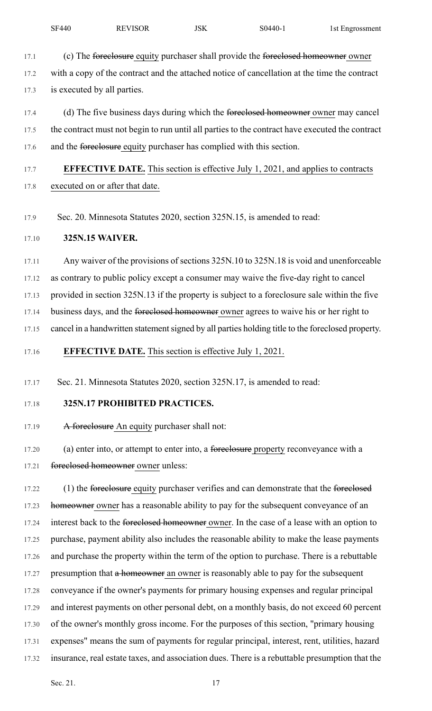- 17.1 (c) The foreclosure equity purchaser shall provide the foreclosed homeowner owner 17.2 with a copy of the contract and the attached notice of cancellation at the time the contract 17.3 is executed by all parties.
- 17.4 (d) The five business days during which the foreclosed homeowner owner may cancel 17.5 the contract must not begin to run until all parties to the contract have executed the contract 17.6 and the foreclosure equity purchaser has complied with this section.
- 17.7 **EFFECTIVE DATE.** This section is effective July 1, 2021, and applies to contracts 17.8 executed on or after that date.
- 17.9 Sec. 20. Minnesota Statutes 2020, section 325N.15, is amended to read:

## 17.10 **325N.15 WAIVER.**

17.11 Any waiver of the provisions of sections 325N.10 to 325N.18 is void and unenforceable

17.12 as contrary to public policy except a consumer may waive the five-day right to cancel

17.13 provided in section 325N.13 if the property is subject to a foreclosure sale within the five

17.14 business days, and the foreclosed homeowner owner agrees to waive his or her right to

17.15 cancel in a handwritten statement signed by all parties holding title to the foreclosed property.

17.16 **EFFECTIVE DATE.** This section is effective July 1, 2021.

17.17 Sec. 21. Minnesota Statutes 2020, section 325N.17, is amended to read:

## 17.18 **325N.17 PROHIBITED PRACTICES.**

17.19 A foreclosure An equity purchaser shall not:

17.20 (a) enter into, or attempt to enter into, a foreclosure property reconveyance with a 17.21 foreclosed homeowner owner unless:

17.22 (1) the foreelosure equity purchaser verifies and can demonstrate that the foreelosed 17.23 homeowner owner has a reasonable ability to pay for the subsequent conveyance of an 17.24 interest back to the foreclosed homeowner owner. In the case of a lease with an option to 17.25 purchase, payment ability also includes the reasonable ability to make the lease payments 17.26 and purchase the property within the term of the option to purchase. There is a rebuttable 17.27 presumption that a homeowner an owner is reasonably able to pay for the subsequent 17.28 conveyance if the owner's payments for primary housing expenses and regular principal 17.29 and interest payments on other personal debt, on a monthly basis, do not exceed 60 percent 17.30 of the owner's monthly gross income. For the purposes of this section, "primary housing 17.31 expenses" means the sum of payments for regular principal, interest, rent, utilities, hazard 17.32 insurance, real estate taxes, and association dues. There is a rebuttable presumption that the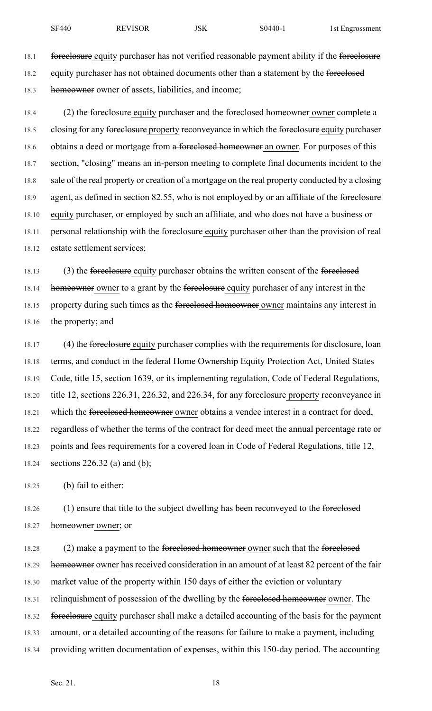18.1 foreclosure equity purchaser has not verified reasonable payment ability if the foreclosure 18.2 equity purchaser has not obtained documents other than a statement by the foreclosed 18.3 homeowner owner of assets, liabilities, and income;

18.4 (2) the foreclosure equity purchaser and the foreclosed homeowner owner complete a 18.5 closing for any foreclosure property reconveyance in which the foreclosure equity purchaser 18.6 obtains a deed or mortgage from a foreclosed homeowner an owner. For purposes of this 18.7 section, "closing" means an in-person meeting to complete final documents incident to the 18.8 sale of the real property or creation of a mortgage on the real property conducted by a closing 18.9 agent, as defined in section 82.55, who is not employed by or an affiliate of the foreclosure 18.10 equity purchaser, or employed by such an affiliate, and who does not have a business or 18.11 personal relationship with the foreclosure equity purchaser other than the provision of real 18.12 estate settlement services;

18.13 (3) the foreclosure equity purchaser obtains the written consent of the foreclosed 18.14 homeowner owner to a grant by the foreclosure equity purchaser of any interest in the 18.15 property during such times as the fore electors between the product maintains any interest in 18.16 the property; and

18.17 (4) the foreclosure equity purchaser complies with the requirements for disclosure, loan 18.18 terms, and conduct in the federal Home Ownership Equity Protection Act, United States 18.19 Code, title 15, section 1639, or its implementing regulation, Code of Federal Regulations, 18.20 title 12, sections 226.31, 226.32, and 226.34, for any foreclosure property reconveyance in 18.21 which the foreclosed homeowner owner obtains a vendee interest in a contract for deed, 18.22 regardless of whether the terms of the contract for deed meet the annual percentage rate or 18.23 points and fees requirements for a covered loan in Code of Federal Regulations, title 12, 18.24 sections 226.32 (a) and (b);

18.25 (b) fail to either:

18.26 (1) ensure that title to the subject dwelling has been reconveyed to the foreclosed 18.27 homeowner owner; or

18.28 (2) make a payment to the foreclosed homeowner owner such that the foreclosed 18.29 homeowner owner has received consideration in an amount of at least 82 percent of the fair 18.30 market value of the property within 150 days of either the eviction or voluntary 18.31 relinquishment of possession of the dwelling by the foreclosed homeowner owner. The 18.32 foreclosure equity purchaser shall make a detailed accounting of the basis for the payment 18.33 amount, or a detailed accounting of the reasons for failure to make a payment, including 18.34 providing written documentation of expenses, within this 150-day period. The accounting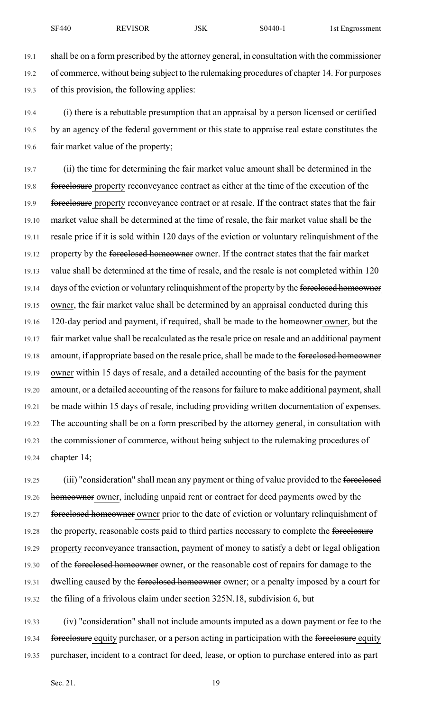19.1 shall be on a form prescribed by the attorney general, in consultation with the commissioner 19.2 of commerce, without being subject to the rulemaking procedures of chapter 14. For purposes 19.3 of this provision, the following applies:

19.4 (i) there is a rebuttable presumption that an appraisal by a person licensed or certified 19.5 by an agency of the federal government or this state to appraise real estate constitutes the 19.6 fair market value of the property;

19.7 (ii) the time for determining the fair market value amount shall be determined in the 19.8 foreclosure property reconveyance contract as either at the time of the execution of the 19.9 foreclosure property reconveyance contract or at resale. If the contract states that the fair 19.10 market value shall be determined at the time of resale, the fair market value shall be the 19.11 resale price if it is sold within 120 days of the eviction or voluntary relinquishment of the 19.12 property by the foreclosed homeowner owner. If the contract states that the fair market 19.13 value shall be determined at the time of resale, and the resale is not completed within 120 19.14 days of the eviction or voluntary relinquishment of the property by the foreclosed homeowner 19.15 owner, the fair market value shall be determined by an appraisal conducted during this 19.16 120-day period and payment, if required, shall be made to the homeowner owner, but the 19.17 fair market value shall be recalculated asthe resale price on resale and an additional payment 19.18 amount, if appropriate based on the resale price, shall be made to the foreclosed homeowner 19.19 owner within 15 days of resale, and a detailed accounting of the basis for the payment 19.20 amount, or a detailed accounting of the reasons for failure to make additional payment, shall 19.21 be made within 15 days of resale, including providing written documentation of expenses. 19.22 The accounting shall be on a form prescribed by the attorney general, in consultation with 19.23 the commissioner of commerce, without being subject to the rulemaking procedures of 19.24 chapter 14;

19.25 (iii) "consideration" shall mean any payment or thing of value provided to the foreclosed 19.26 homeowner owner, including unpaid rent or contract for deed payments owed by the 19.27 foreclosed homeowner owner prior to the date of eviction or voluntary relinquishment of 19.28 the property, reasonable costs paid to third parties necessary to complete the foreclosure 19.29 property reconveyance transaction, payment of money to satisfy a debt or legal obligation 19.30 of the foreclosed homeowner owner, or the reasonable cost of repairs for damage to the 19.31 dwelling caused by the foreclosed homeowner owner; or a penalty imposed by a court for 19.32 the filing of a frivolous claim under section 325N.18, subdivision 6, but

19.33 (iv) "consideration" shall not include amounts imputed as a down payment or fee to the 19.34 foreclosure equity purchaser, or a person acting in participation with the foreclosure equity 19.35 purchaser, incident to a contract for deed, lease, or option to purchase entered into as part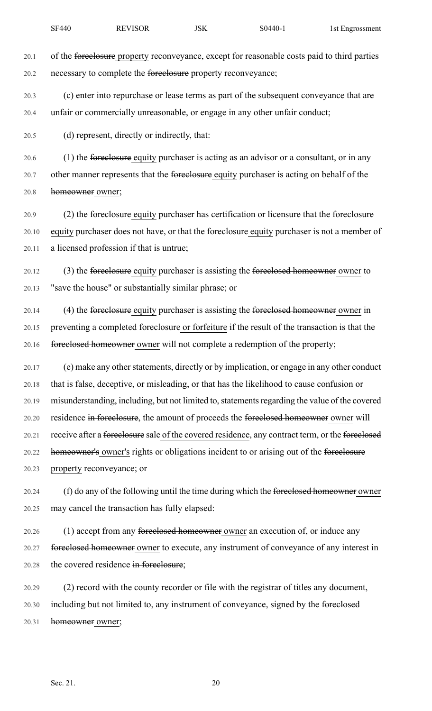| <b>REVISOR</b><br>JSK<br><b>SF440</b><br>$S0440-1$ | 1st Engrossment |  |
|----------------------------------------------------|-----------------|--|
|----------------------------------------------------|-----------------|--|

20.1 of the foreclosure property reconveyance, except for reasonable costs paid to third parties 20.2 necessary to complete the foreclosure property reconveyance;

20.3 (c) enter into repurchase or lease terms as part of the subsequent conveyance that are 20.4 unfair or commercially unreasonable, or engage in any other unfair conduct;

20.5 (d) represent, directly or indirectly, that:

20.6 (1) the foreclosure equity purchaser is acting as an advisor or a consultant, or in any 20.7 other manner represents that the foreelosure equity purchaser is acting on behalf of the 20.8 homeowner owner;

20.9 (2) the foreclosure equity purchaser has certification or licensure that the foreclosure 20.10 equity purchaser does not have, or that the foreclosure equity purchaser is not a member of 20.11 a licensed profession if that is untrue;

20.12 (3) the foreclosure equity purchaser is assisting the foreclosed homeowner owner to 20.13 "save the house" or substantially similar phrase; or

20.14 (4) the foreclosure equity purchaser is assisting the foreclosed homeowner owner in 20.15 preventing a completed foreclosure or forfeiture if the result of the transaction is that the 20.16 foreclosed homeowner owner will not complete a redemption of the property;

20.17 (e) make any other statements, directly or by implication, or engage in any other conduct 20.18 that is false, deceptive, or misleading, or that has the likelihood to cause confusion or 20.19 misunderstanding, including, but not limited to, statements regarding the value of the covered 20.20 residence in foreclosure, the amount of proceeds the foreclosed homeowner owner will 20.21 receive after a foreclosure sale of the covered residence, any contract term, or the foreclosed 20.22 homeowner's owner's rights or obligations incident to or arising out of the foreclosure 20.23 property reconveyance; or

20.24 (f) do any of the following until the time during which the foreclosed homeowner owner 20.25 may cancel the transaction has fully elapsed:

20.26 (1) accept from any foreclosed homeowner owner an execution of, or induce any 20.27 foreclosed homeowner owner to execute, any instrument of conveyance of any interest in 20.28 the covered residence in foreclosure;

20.29 (2) record with the county recorder or file with the registrar of titles any document, 20.30 including but not limited to, any instrument of conveyance, signed by the foreclosed 20.31 homeowner owner;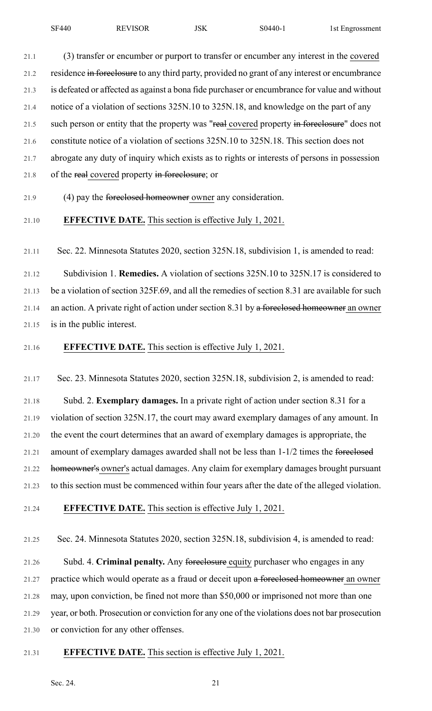21.1 (3) transfer or encumber or purport to transfer or encumber any interest in the covered 21.2 residence in foreclosure to any third party, provided no grant of any interest or encumbrance 21.3 is defeated or affected as against a bona fide purchaser or encumbrance for value and without 21.4 notice of a violation of sections 325N.10 to 325N.18, and knowledge on the part of any 21.5 such person or entity that the property was "real covered property in foreclosure" does not 21.6 constitute notice of a violation of sections 325N.10 to 325N.18. This section does not 21.7 abrogate any duty of inquiry which exists as to rights or interests of persons in possession 21.8 of the real covered property in foreclosure; or

21.9 (4) pay the foreclosed homeowner owner any consideration.

21.10 **EFFECTIVE DATE.** This section is effective July 1, 2021.

21.11 Sec. 22. Minnesota Statutes 2020, section 325N.18, subdivision 1, is amended to read:

21.12 Subdivision 1. **Remedies.** A violation of sections 325N.10 to 325N.17 is considered to 21.13 be a violation of section 325F.69, and all the remedies of section 8.31 are available for such 21.14 an action. A private right of action under section 8.31 by a foreclosed homeowner an owner 21.15 is in the public interest.

21.16 **EFFECTIVE DATE.** This section is effective July 1, 2021.

21.17 Sec. 23. Minnesota Statutes 2020, section 325N.18, subdivision 2, is amended to read:

21.18 Subd. 2. **Exemplary damages.** In a private right of action under section 8.31 for a 21.19 violation of section 325N.17, the court may award exemplary damages of any amount. In 21.20 the event the court determines that an award of exemplary damages is appropriate, the 21.21 amount of exemplary damages awarded shall not be less than 1-1/2 times the foreclosed 21.22 homeowner's owner's actual damages. Any claim for exemplary damages brought pursuant 21.23 to this section must be commenced within four years after the date of the alleged violation.

21.24 **EFFECTIVE DATE.** This section is effective July 1, 2021.

21.25 Sec. 24. Minnesota Statutes 2020, section 325N.18, subdivision 4, is amended to read:

21.26 Subd. 4. **Criminal penalty.** Any foreclosure equity purchaser who engages in any 21.27 practice which would operate as a fraud or deceit upon a foreclosed homeowner an owner 21.28 may, upon conviction, be fined not more than \$50,000 or imprisoned not more than one 21.29 year, or both. Prosecution or conviction for any one of the violations does not bar prosecution 21.30 or conviction for any other offenses.

## 21.31 **EFFECTIVE DATE.** This section is effective July 1, 2021.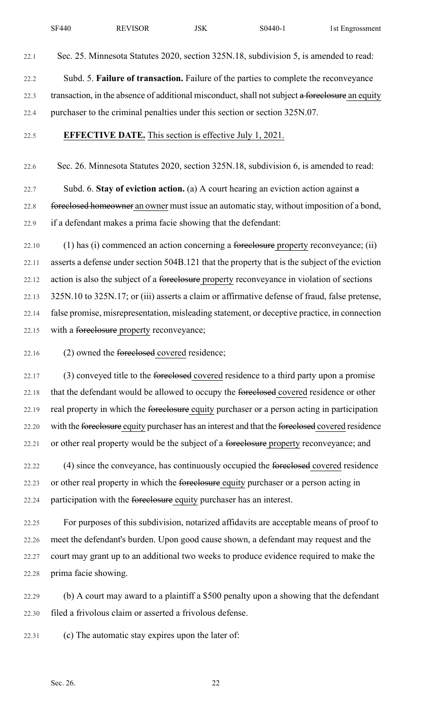22.2 Subd. 5. **Failure of transaction.** Failure of the parties to complete the reconveyance 22.3 transaction, in the absence of additional misconduct, shall not subject a foreclosure an equity 22.4 purchaser to the criminal penalties under this section or section 325N.07.

### 22.5 **EFFECTIVE DATE.** This section is effective July 1, 2021.

22.6 Sec. 26. Minnesota Statutes 2020, section 325N.18, subdivision 6, is amended to read:

22.7 Subd. 6. **Stay of eviction action.** (a) A court hearing an eviction action against a 22.8 foreclosed homeowner an owner must issue an automatic stay, without imposition of a bond, 22.9 if a defendant makes a prima facie showing that the defendant:

22.10 (1) has (i) commenced an action concerning a foreclosure property reconveyance; (ii) 22.11 asserts a defense under section 504B.121 that the property that is the subject of the eviction 22.12 action is also the subject of a foreclosure property reconveyance in violation of sections 22.13 325N.10 to 325N.17; or (iii) asserts a claim or affirmative defense of fraud, false pretense, 22.14 false promise, misrepresentation, misleading statement, or deceptive practice, in connection 22.15 with a foreclosure property reconveyance;

22.16 (2) owned the foreclosed covered residence;

22.17 (3) conveyed title to the <del>foreclosed</del> covered residence to a third party upon a promise 22.18 that the defendant would be allowed to occupy the foreclosed covered residence or other 22.19 real property in which the fore elesure equity purchaser or a person acting in participation 22.20 with the foreclosure equity purchaser has an interest and that the foreclosed covered residence 22.21 or other real property would be the subject of a foreclosure property reconveyance; and

22.22 (4) since the conveyance, has continuously occupied the foreclosed covered residence 22.23 or other real property in which the fore elector equity purchaser or a person acting in 22.24 participation with the foreclosure equity purchaser has an interest.

22.25 For purposes of this subdivision, notarized affidavits are acceptable means of proof to 22.26 meet the defendant's burden. Upon good cause shown, a defendant may request and the 22.27 court may grant up to an additional two weeks to produce evidence required to make the 22.28 prima facie showing.

22.29 (b) A court may award to a plaintiff a \$500 penalty upon a showing that the defendant 22.30 filed a frivolous claim or asserted a frivolous defense.

22.31 (c) The automatic stay expires upon the later of: